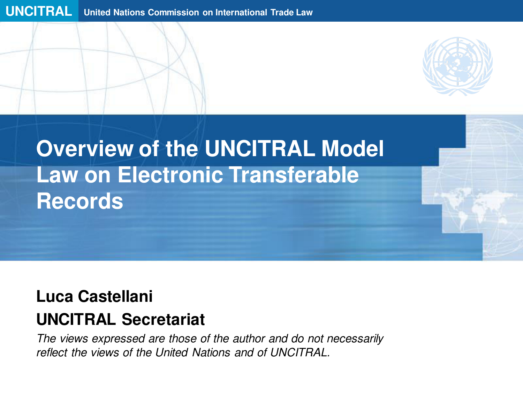

# **Overview of the UNCITRAL Model Law on Electronic Transferable Records**

#### **Luca Castellani**

#### **UNCITRAL Secretariat**

The views expressed are those of the author and do not necessarily reflect the views of the United Nations and of UNCITRAL.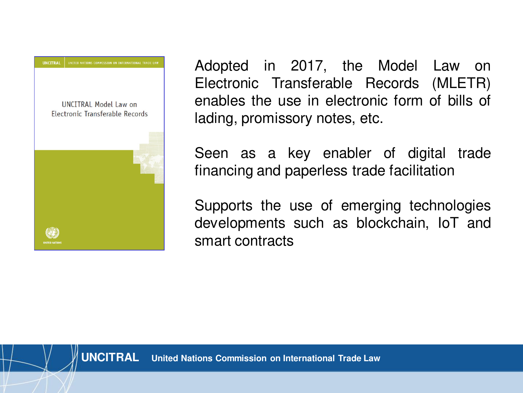

Adopted in 2017, the Model Law on Electronic Transferable Records (MLETR) enables the use in electronic form of bills of lading, promissory notes, etc.

Seen as a key enabler of digital trade financing and paperless trade facilitation

Supports the use of emerging technologies developments such as blockchain, IoT and smart contracts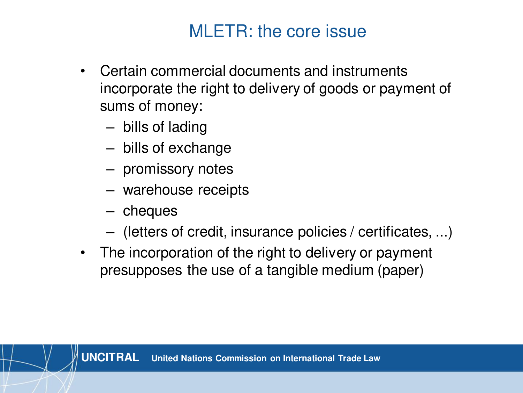## MLETR: the core issue

- Certain commercial documents and instruments incorporate the right to delivery of goods or payment of sums of money:
	- bills of lading
	- bills of exchange
	- promissory notes
	- warehouse receipts
	- cheques
	- (letters of credit, insurance policies / certificates, ...)
- The incorporation of the right to delivery or payment presupposes the use of a tangible medium (paper)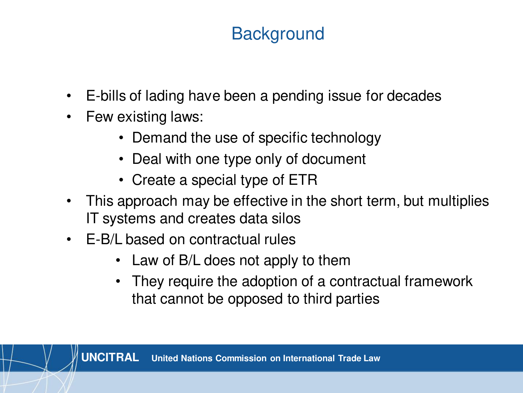# **Background**

- E-bills of lading have been a pending issue for decades
- Few existing laws:
	- Demand the use of specific technology
	- Deal with one type only of document
	- Create a special type of ETR
- This approach may be effective in the short term, but multiplies IT systems and creates data silos
- E-B/L based on contractual rules
	- Law of B/L does not apply to them
	- They require the adoption of a contractual framework that cannot be opposed to third parties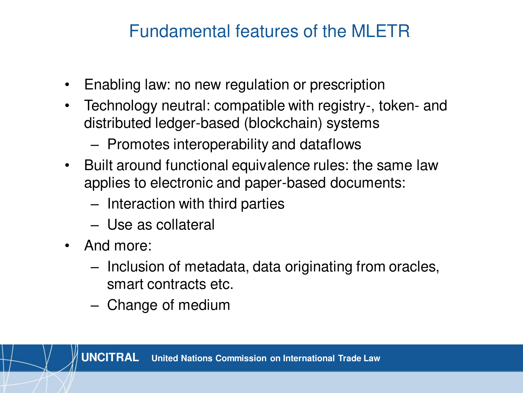#### Fundamental features of the MLETR

- Enabling law: no new regulation or prescription
- Technology neutral: compatible with registry-, token- and distributed ledger-based (blockchain) systems
	- Promotes interoperability and dataflows
- Built around functional equivalence rules: the same law applies to electronic and paper-based documents:
	- Interaction with third parties
	- Use as collateral
- And more:
	- Inclusion of metadata, data originating from oracles, smart contracts etc.
	- Change of medium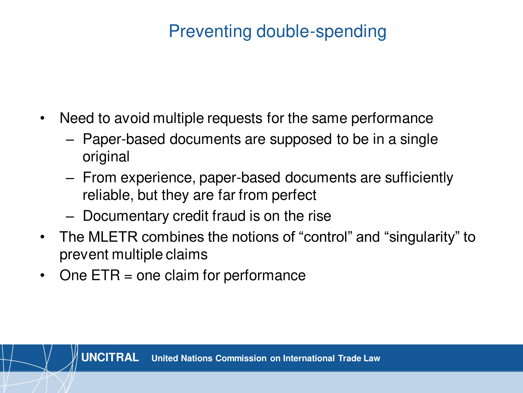# Preventing double-spending

- Need to avoid multiple requests for the same performance
	- Paper-based documents are supposed to be in a single original
	- From experience, paper-based documents are sufficiently reliable, but they are far from perfect
	- Documentary credit fraud is on the rise
- The MLETR combines the notions of "control" and "singularity" to prevent multiple claims
- One ETR = one claim for performance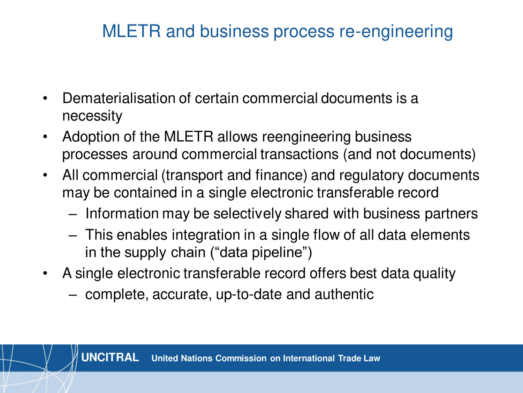# MLETR and business process re-engineering

- Dematerialisation of certain commercial documents is a necessity
- Adoption of the MLETR allows reengineering business processes around commercial transactions (and not documents)
- All commercial (transport and finance) and regulatory documents may be contained in a single electronic transferable record
	- Information may be selectively shared with business partners
	- This enables integration in a single flow of all data elements in the supply chain ("data pipeline")
- A single electronic transferable record offers best data quality
	- complete, accurate, up-to-date and authentic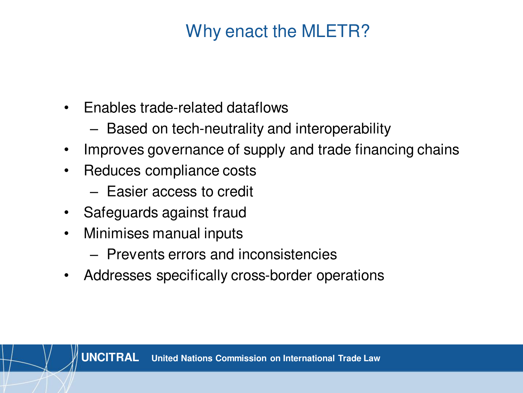# Why enact the MLETR?

- Enables trade-related dataflows
	- Based on tech-neutrality and interoperability
- Improves governance of supply and trade financing chains
- Reduces compliance costs
	- Easier access to credit
- Safeguards against fraud
- Minimises manual inputs
	- Prevents errors and inconsistencies
- Addresses specifically cross-border operations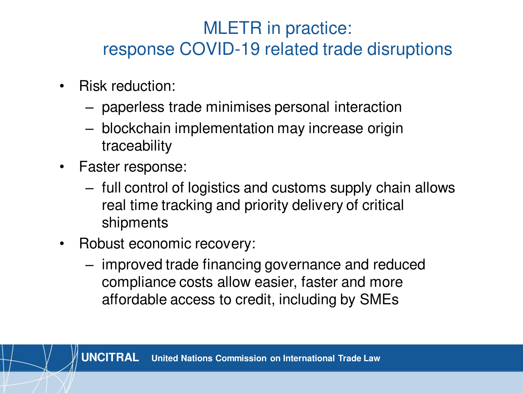# MLETR in practice: response COVID-19 related trade disruptions

- Risk reduction:
	- paperless trade minimises personal interaction
	- blockchain implementation may increase origin traceability
- Faster response:
	- full control of logistics and customs supply chain allows real time tracking and priority delivery of critical shipments
- Robust economic recovery:
	- improved trade financing governance and reduced compliance costs allow easier, faster and more affordable access to credit, including by SMEs